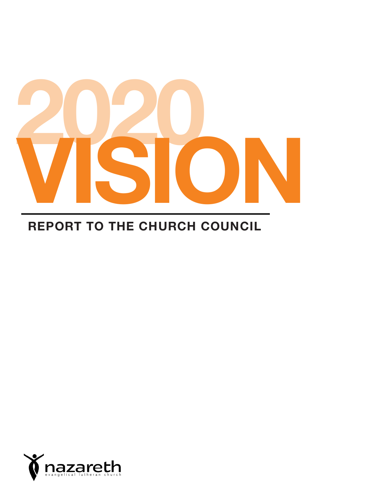

### **REPORT TO THE CHURCH COUNCIL**

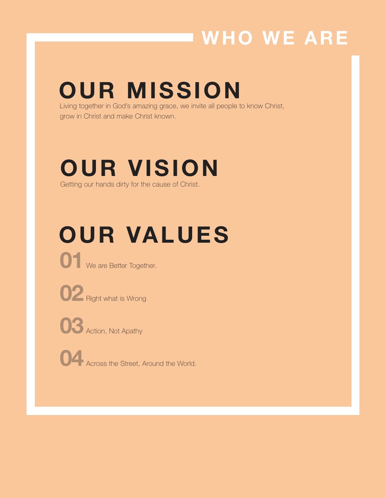## **WHO WE ARE**

## **OUR MISSION**

Living together in God's amazing grace, we invite all people to know Christ, grow in Christ and make Christ known.

### **OUR VISION** Getting our hands dirty for the cause of Christ.

# **OUR VALUES**



**01** We are Better Together.



**02** Right what is Wrong

**03** Action, Not Apathy

**04** Across the Street, Around the World.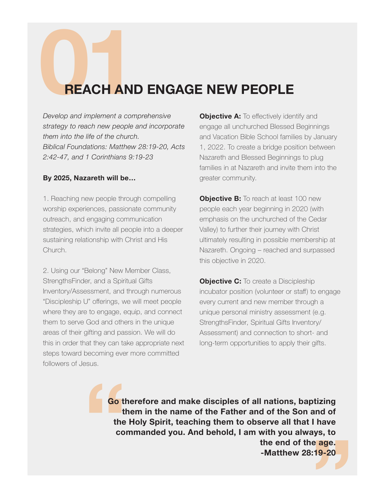# **021 REACH AND ENGAGE NEW PEOPLE**<br>Develop and implement a comprehensive objective A: To effectively identity

*Develop and implement a comprehensive strategy to reach new people and incorporate them into the life of the church. Biblical Foundations: Matthew 28:19-20, Acts 2:42-47, and 1 Corinthians 9:19-23*

#### **By 2025, Nazareth will be…**

1. Reaching new people through compelling worship experiences, passionate community outreach, and engaging communication strategies, which invite all people into a deeper sustaining relationship with Christ and His Church.

2. Using our "Belong" New Member Class, StrengthsFinder, and a Spiritual Gifts Inventory/Assessment, and through numerous "Discipleship U" offerings, we will meet people where they are to engage, equip, and connect them to serve God and others in the unique areas of their gifting and passion. We will do this in order that they can take appropriate next steps toward becoming ever more committed followers of Jesus.

**Objective A:** To effectively identify and engage all unchurched Blessed Beginnings and Vacation Bible School families by January 1, 2022. To create a bridge position between Nazareth and Blessed Beginnings to plug families in at Nazareth and invite them into the greater community.

**Objective B:** To reach at least 100 new people each year beginning in 2020 (with emphasis on the unchurched of the Cedar Valley) to further their journey with Christ ultimately resulting in possible membership at Nazareth. Ongoing – reached and surpassed this objective in 2020.

**Objective C:** To create a Discipleship incubator position (volunteer or staff) to engage every current and new member through a unique personal ministry assessment (e.g. StrengthsFinder, Spiritual Gifts Inventory/ Assessment) and connection to short- and long-term opportunities to apply their gifts.

**Co** tl<br>the<br>co e age.<br>:19-20<br>**Allena Go therefore and make disciples of all nations, baptizing them in the name of the Father and of the Son and of the Holy Spirit, teaching them to observe all that I have commanded you. And behold, I am with you always, to the end of the age. -Matthew 28:19-20**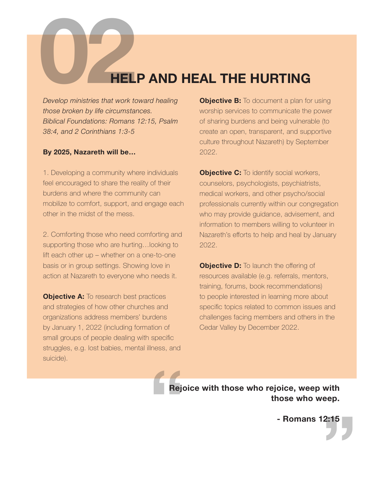# **028 Contract Contract Contract Contract Contract Contract Contract Contract Contract Contract Contract Contract Contract Contract Contract Contract Contract Contract Contract Contract Contract Contract Contract Contract C**

*Develop ministries that work toward healing those broken by life circumstances. Biblical Foundations: Romans 12:15, Psalm 38:4, and 2 Corinthians 1:3-5*

#### **By 2025, Nazareth will be…**

1. Developing a community where individuals feel encouraged to share the reality of their burdens and where the community can mobilize to comfort, support, and engage each other in the midst of the mess.

2. Comforting those who need comforting and supporting those who are hurting…looking to lift each other up – whether on a one-to-one basis or in group settings. Showing love in action at Nazareth to everyone who needs it.

**Objective A:** To research best practices and strategies of how other churches and organizations address members' burdens by January 1, 2022 (including formation of small groups of people dealing with specific struggles, e.g. lost babies, mental illness, and suicide).

**Objective B:** To document a plan for using worship services to communicate the power of sharing burdens and being vulnerable (to create an open, transparent, and supportive culture throughout Nazareth) by September 2022.

**Objective C:** To identify social workers, counselors, psychologists, psychiatrists, medical workers, and other psycho/social professionals currently within our congregation who may provide guidance, advisement, and information to members willing to volunteer in Nazareth's efforts to help and heal by January 2022.

**Objective D:** To launch the offering of resources available (e.g. referrals, mentors, training, forums, book recommendations) to people interested in learning more about specific topics related to common issues and challenges facing members and others in the Cedar Valley by December 2022.

**Rej Rejoice with those who rejoice, weep with those who weep.**

**"**<br>  $\left($ **- Romans 12:15**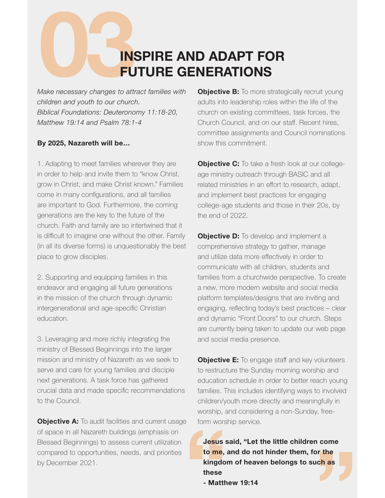# **1889 INSPIRE AND ADAPT FOR<br>
FUTURE GENERATIONS**<br>
Make necessary changes to attract families with **Objective B:** To more strateging<br>
children and youth to our church **FUTURE GENERATIONS**

*Make necessary changes to attract families with children and youth to our church. Biblical Foundations: Deuteronomy 11:18-20, Matthew 19:14 and Psalm 78:1-4*

#### **By 2025, Nazareth will be…**

1. Adapting to meet families wherever they are in order to help and invite them to "know Christ, grow in Christ, and make Christ known." Families come in many configurations, and all families are important to God. Furthermore, the coming generations are the key to the future of the church. Faith and family are so intertwined that it is difficult to imagine one without the other. Family (in all its diverse forms) is unquestionably the best place to grow disciples.

2. Supporting and equipping families in this endeavor and engaging all future generations in the mission of the church through dynamic intergenerational and age-specific Christian education.

3. Leveraging and more richly integrating the ministry of Blessed Beginnings into the larger mission and ministry of Nazareth as we seek to serve and care for young families and disciple next generations. A task force has gathered crucial data and made specific recommendations to the Council.

**Objective A:** To audit facilities and current usage of space in all Nazareth buildings (emphasis on Blessed Beginnings) to assess current utilization compared to opportunities, needs, and priorities by December 2021.

**Objective B:** To more strategically recruit young adults into leadership roles within the life of the church on existing committees, task forces, the Church Council, and on our staff. Recent hires, committee assignments and Council nominations show this commitment.

**Objective C:** To take a fresh look at our collegeage ministry outreach through BASIC and all related ministries in an effort to research, adapt, and implement best practices for engaging college-age students and those in their 20s, by the end of 2022.

**Objective D:** To develop and implement a comprehensive strategy to gather, manage and utilize data more effectively in order to communicate with all children, students and families from a churchwide perspective. To create a new, more modern website and social media platform templates/designs that are inviting and engaging, reflecting today's best practices – clear and dynamic "Front Doors" to our church. Steps are currently being taken to update our web page and social media presence.

**Objective E:** To engage staff and key volunteers to restructure the Sunday morning worship and education schedule in order to better reach young families. This includes identifying ways to involved children/youth more directly and meaningfully in worship, and considering a non-Sunday, freeform worship service.

**1981** Jesus said, "Let the little children come<br>to me, and do not hinder them, for the<br>kingdom of heaven belongs to such as<br>these<br>- Matthew 19:14 **Jesus said, "Let the little children come to me, and do not hinder them, for the kingdom of heaven belongs to such as these**

**- Matthew 19:14**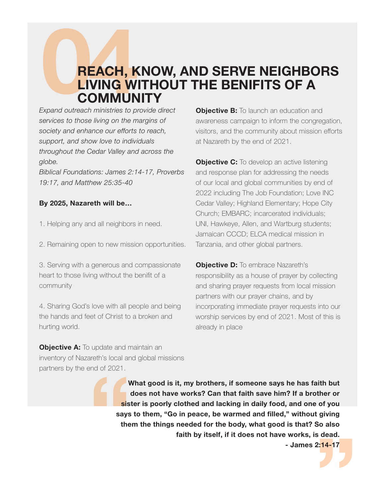#### **REACH, KNOW, AND SERVE NEIGHBORS LIVING WITHOUT THE BENIFITS OF A COMMUNITY**

*Expand outreach ministries to provide direct services to those living on the margins of society and enhance our efforts to reach, support, and show love to individuals throughout the Cedar Valley and across the globe.*

*Biblical Foundations: James 2:14-17, Proverbs 19:17, and Matthew 25:35-40*

#### **By 2025, Nazareth will be…**

- 1. Helping any and all neighbors in need.
- 2. Remaining open to new mission opportunities.

3. Serving with a generous and compassionate heart to those living without the benifit of a community

4. Sharing God's love with all people and being the hands and feet of Christ to a broken and hurting world.

**Objective B:** To launch an education and awareness campaign to inform the congregation, visitors, and the community about mission efforts at Nazareth by the end of 2021.

**Objective C:** To develop an active listening and response plan for addressing the needs of our local and global communities by end of 2022 including The Job Foundation; Love INC Cedar Valley; Highland Elementary; Hope City Church; EMBARC; incarcerated individuals; UNI, Hawkeye, Allen, and Wartburg students; Jamaican CCCD; ELCA medical mission in Tanzania, and other global partners.

**Objective D:** To embrace Nazareth's responsibility as a house of prayer by collecting and sharing prayer requests from local mission partners with our prayer chains, and by incorporating immediate prayer requests into our worship services by end of 2021. Most of this is already in place

**Objective A:** To update and maintain an inventory of Nazareth's local and global missions partners by the end of 2021.

> **u**<br>sis<br>says<br>the **What good is it, my brothers, if someone says he has faith but does not have works? Can that faith save him? If a brother or sister is poorly clothed and lacking in daily food, and one of you says to them, "Go in peace, be warmed and filled," without giving them the things needed for the body, what good is that? So also faith by itself, if it does not have works, is dead.**

**2:14-17 - James 2:14-17**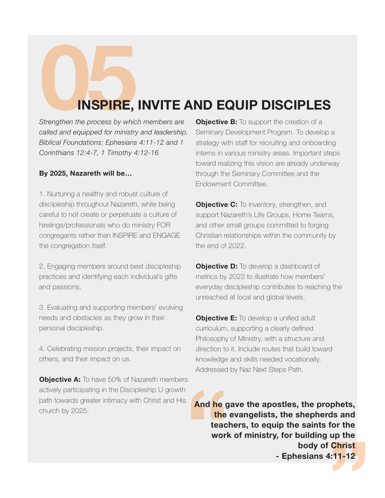## **INSPIRE, INVITE AND EQUIP DISCIPLES**

*Strengthen the process by which members are called and equipped for ministry and leadership. Biblical Foundations: Ephesians 4:11-12 and 1 Corinthians 12:4-7, 1 Timothy 4:12-16*

#### **By 2025, Nazareth will be…**

1. Nurturing a healthy and robust culture of discipleship throughout Nazareth, while being careful to not create or perpetuate a culture of hirelings/professionals who do ministry FOR congregants rather than INSPIRE and ENGAGE the congregation itself.

2. Engaging members around best discipleship practices and identifying each individual's gifts and passions.

3. Evaluating and supporting members' evolving needs and obstacles as they grow in their personal discipleship.

4. Celebrating mission projects, their impact on others, and their impact on us.

**Objective A:** To have 50% of Nazareth members actively participating in the Discipleship U growth path towards greater intimacy with Christ and His church by 2025.

**Objective B:** To support the creation of a Seminary Development Program. To develop a strategy with staff for recruiting and onboarding interns in various ministry areas. Important steps toward realizing this vision are already underway through the Seminary Committee and the Endowment Committee.

**Objective C:** To inventory, strengthen, and support Nazareth's Life Groups, Home Teams, and other small groups committed to forging Christian relationships within the community by the end of 2022.

**Objective D:** To develop a dashboard of metrics by 2023 to illustrate how members' everyday discipleship contributes to reaching the unreached at local and global levels.

**Objective E:** To develop a unified adult curriculum, supporting a clearly defined Philosophy of Ministry, with a structure and direction to it. Include routes that build toward knowledge and skills needed vocationally. Addressed by Naz Next Steps Path.

And he g<br>the<br>teac<br>worl **Christ<br>|-11-12**<br>| **And he gave the apostles, the prophets, the evangelists, the shepherds and teachers, to equip the saints for the work of ministry, for building up the body of Christ - Ephesians 4:11-12**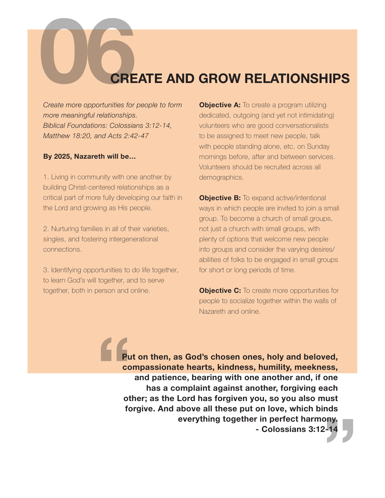# **OREATE AND GROW RELATIONSHIPS**<br>Create more opportunities for people to form **Objective A:** To create a program utilizing

*Create more opportunities for people to form more meaningful relationships. Biblical Foundations: Colossians 3:12-14, Matthew 18:20, and Acts 2:42-47*

#### **By 2025, Nazareth will be…**

1. Living in community with one another by building Christ-centered relationships as a critical part of more fully developing our faith in the Lord and growing as His people.

2. Nurturing families in all of their varieties, singles, and fostering intergenerational connections.

3. Identifying opportunities to do life together, to learn God's will together, and to serve together, both in person and online.

**Objective A:** To create a program utilizing dedicated, outgoing (and yet not intimidating) volunteers who are good conversationalists to be assigned to meet new people, talk with people standing alone, etc. on Sunday mornings before, after and between services. Volunteers should be recruited across all demographics.

**Objective B:** To expand active/intentional ways in which people are invited to join a small group. To become a church of small groups, not just a church with small groups, with plenty of options that welcome new people into groups and consider the varying desires/ abilities of folks to be engaged in small groups for short or long periods of time.

**Objective C:** To create more opportunities for people to socialize together within the walls of Nazareth and online.

**1**<br>Pu<br>co<br>ot<br>fo  $2-14$ **Put on then, as God's chosen ones, holy and beloved, compassionate hearts, kindness, humility, meekness, and patience, bearing with one another and, if one has a complaint against another, forgiving each other; as the Lord has forgiven you, so you also must forgive. And above all these put on love, which binds everything together in perfect harmony. - Colossians 3:12-14**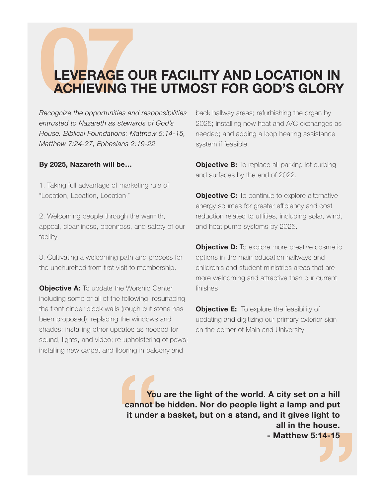# **DEVERAGE OUR FACILITY AND LOCATION IN ACHIEVING THE UTMOST FOR GOD'S GLORY**<br>
Recognize the opportunities and responsibilities back hallway areas; refurbishing the organ by **ACHIEVING THE UTMOST FOR GOD'S GLORY**

*Recognize the opportunities and responsibilities entrusted to Nazareth as stewards of God's House. Biblical Foundations: Matthew 5:14-15, Matthew 7:24-27, Ephesians 2:19-22*

#### **By 2025, Nazareth will be…**

1. Taking full advantage of marketing rule of "Location, Location, Location."

2. Welcoming people through the warmth, appeal, cleanliness, openness, and safety of our facility.

3. Cultivating a welcoming path and process for the unchurched from first visit to membership.

**Objective A:** To update the Worship Center including some or all of the following: resurfacing the front cinder block walls (rough cut stone has been proposed); replacing the windows and shades; installing other updates as needed for sound, lights, and video; re-upholstering of pews; installing new carpet and flooring in balcony and

back hallway areas; refurbishing the organ by 2025; installing new heat and A/C exchanges as needed; and adding a loop hearing assistance system if feasible.

**Objective B:** To replace all parking lot curbing and surfaces by the end of 2022.

**Objective C:** To continue to explore alternative energy sources for greater efficiency and cost reduction related to utilities, including solar, wind, and heat pump systems by 2025.

**Objective D:** To explore more creative cosmetic options in the main education hallways and children's and student ministries areas that are more welcoming and attractive than our current finishes.

**Objective E:** To explore the feasibility of updating and digitizing our primary exterior sign on the corner of Main and University.

**Example 15**<br> **Example 16**<br> **Example 16**<br> **Example 16**<br> **Example 16**<br> **Example 16**<br> **Example 16 14-15 You are the light of the world. A city set on a hill cannot be hidden. Nor do people light a lamp and put it under a basket, but on a stand, and it gives light to all in the house. - Matthew 5:14-15**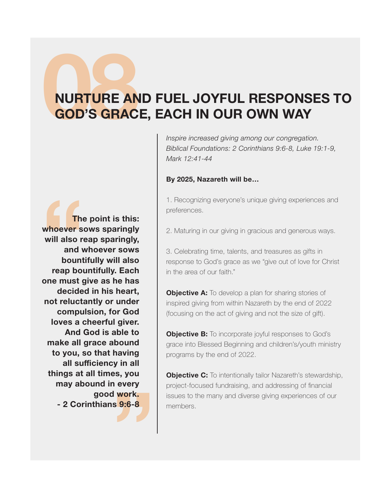# **08NURTURE AND FUEL JOYFUL RESPONSES TO**<br>**GOD'S GRACE, EACH IN OUR OWN WAY GOD'S GRACE, EACH IN OUR OWN WAY**

*Inspire increased giving among our congregation. Biblical Foundations: 2 Corinthians 9:6-8, Luke 19:1-9, Mark 12:41-44*

#### **By 2025, Nazareth will be…**

1. Recognizing everyone's unique giving experiences and preferences.

2. Maturing in our giving in gracious and generous ways.

3. Celebrating time, talents, and treasures as gifts in response to God's grace as we "give out of love for Christ in the area of our faith."

**Objective A:** To develop a plan for sharing stories of inspired giving from within Nazareth by the end of 2022 (focusing on the act of giving and not the size of gift).

**Objective B:** To incorporate joyful responses to God's grace into Blessed Beginning and children's/youth ministry programs by the end of 2022.

**Objective C:** To intentionally tailor Nazareth's stewardship, project-focused fundraising, and addressing of financial issues to the many and diverse giving experiences of our members.

The<br>
whoever s<br>
will also re<br>
and v<br>
bount<br>
reap bou<br>
one must g<br>
decide **s** 9:6-8 **The point is this: whoever sows sparingly will also reap sparingly, and whoever sows bountifully will also reap bountifully. Each one must give as he has decided in his heart, not reluctantly or under compulsion, for God loves a cheerful giver. And God is able to make all grace abound to you, so that having all sufficiency in all things at all times, you may abound in every good work. - 2 Corinthians 9:6-8**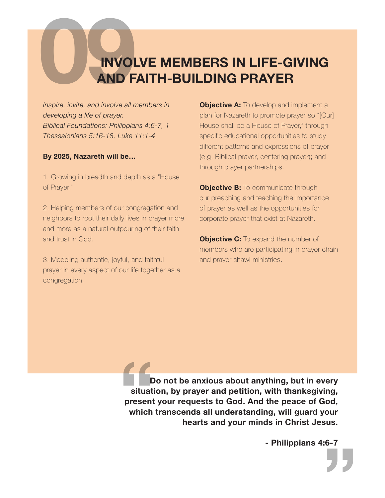### **INVOLVE MEMBERS IN LIFE-GIVING AND FAITH-BUILDING PRAYER**

*Inspire, invite, and involve all members in developing a life of prayer. Biblical Foundations: Philippians 4:6-7, 1 Thessalonians 5:16-18, Luke 11:1-4*

#### **By 2025, Nazareth will be…**

1. Growing in breadth and depth as a "House of Prayer."

2. Helping members of our congregation and neighbors to root their daily lives in prayer more and more as a natural outpouring of their faith and trust in God.

3. Modeling authentic, joyful, and faithful prayer in every aspect of our life together as a congregation.

**Objective A:** To develop and implement a plan for Nazareth to promote prayer so "[Our] House shall be a House of Prayer," through specific educational opportunities to study different patterns and expressions of prayer (e.g. Biblical prayer, centering prayer); and through prayer partnerships.

**Objective B:** To communicate through our preaching and teaching the importance of prayer as well as the opportunities for corporate prayer that exist at Nazareth.

**Objective C:** To expand the number of members who are participating in prayer chain and prayer shawl ministries.

**E**<br>situat<br>present<br>which  **Do not be anxious about anything, but in every situation, by prayer and petition, with thanksgiving, present your requests to God. And the peace of God, which transcends all understanding, will guard your hearts and your minds in Christ Jesus.**

**- Philippians 4:6-7**

**"**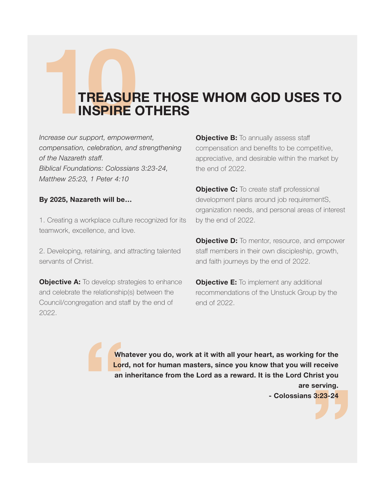# **10 TREASURE THOSE WHOM GOD USES TO**<br> **10TREASURE OTHERS**<br>
Increase our support, empowerment, and **Deliective B:** To annually assess staff **INSPIRE OTHERS**

*Increase our support, empowerment, compensation, celebration, and strengthening of the Nazareth staff. Biblical Foundations: Colossians 3:23-24, Matthew 25:23, 1 Peter 4:10*

#### **By 2025, Nazareth will be…**

1. Creating a workplace culture recognized for its teamwork, excellence, and love.

2. Developing, retaining, and attracting talented servants of Christ.

**Objective A:** To develop strategies to enhance and celebrate the relationship(s) between the Council/congregation and staff by the end of 2022.

**Objective B:** To annually assess staff compensation and benefits to be competitive, appreciative, and desirable within the market by the end of 2022.

**Objective C:** To create staff professional development plans around job requirementS, organization needs, and personal areas of interest by the end of 2022.

**Objective D:** To mentor, resource, and empower staff members in their own discipleship, growth, and faith journeys by the end of 2022.

**Objective E:** To implement any additional recommendations of the Unstuck Group by the end of 2022.

**Example 1**<br> **Example 1**<br> **Example 1**<br> **Example 1**<br> **Example 1 Whatever you do, work at it with all your heart, as working for the Lord, not for human masters, since you know that you will receive an inheritance from the Lord as a reward. It is the Lord Christ you are serving.**

**3:23-24 - Colossians 3:23-24**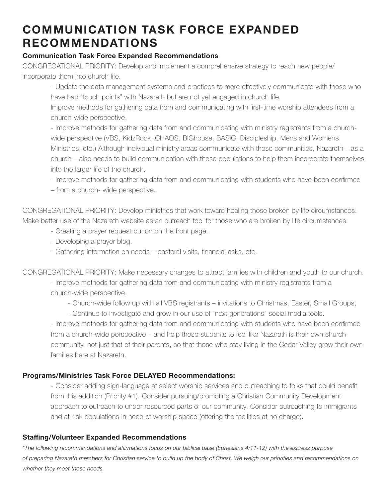#### **COMMUNICATION TASK FORCE EXPANDED RECOMMENDATIONS**

#### **Communication Task Force Expanded Recommendations**

CONGREGATIONAL PRIORITY: Develop and implement a comprehensive strategy to reach new people/ incorporate them into church life.

- Update the data management systems and practices to more effectively communicate with those who have had "touch points" with Nazareth but are not yet engaged in church life.

Improve methods for gathering data from and communicating with first-time worship attendees from a church-wide perspective.

- Improve methods for gathering data from and communicating with ministry registrants from a churchwide perspective (VBS, KidzRock, CHAOS, BIGhouse, BASIC, Discipleship, Mens and Womens Ministries, etc.) Although individual ministry areas communicate with these communities, Nazareth – as a church – also needs to build communication with these populations to help them incorporate themselves into the larger life of the church.

- Improve methods for gathering data from and communicating with students who have been confirmed – from a church- wide perspective.

CONGREGATIONAL PRIORITY: Develop ministries that work toward healing those broken by life circumstances. Make better use of the Nazareth website as an outreach tool for those who are broken by life circumstances.

- Creating a prayer request button on the front page.
- Developing a prayer blog.
- Gathering information on needs pastoral visits, financial asks, etc.

CONGREGATIONAL PRIORITY: Make necessary changes to attract families with children and youth to our church.

- Improve methods for gathering data from and communicating with ministry registrants from a church-wide perspective.

- Church-wide follow up with all VBS registrants – invitations to Christmas, Easter, Small Groups,

- Continue to investigate and grow in our use of "next generations" social media tools.

- Improve methods for gathering data from and communicating with students who have been confirmed from a church-wide perspective – and help these students to feel like Nazareth is their own church community, not just that of their parents, so that those who stay living in the Cedar Valley grow their own families here at Nazareth.

#### **Programs/Ministries Task Force DELAYED Recommendations:**

- Consider adding sign-language at select worship services and outreaching to folks that could benefit from this addition (Priority #1). Consider pursuing/promoting a Christian Community Development approach to outreach to under-resourced parts of our community. Consider outreaching to immigrants and at-risk populations in need of worship space (offering the facilities at no charge).

#### **Staffing/Volunteer Expanded Recommendations**

*\*The following recommendations and affirmations focus on our biblical base (Ephesians 4:11-12) with the express purpose of preparing Nazareth members for Christian service to build up the body of Christ. We weigh our priorities and recommendations on whether they meet those needs.*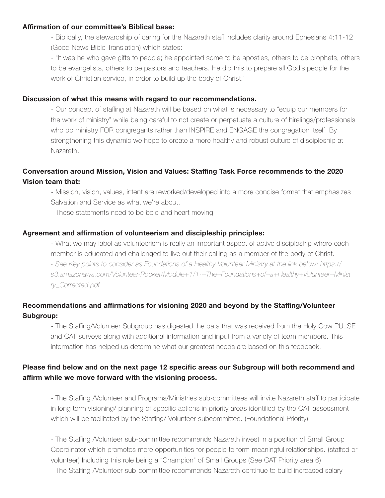#### **Affirmation of our committee's Biblical base:**

- Biblically, the stewardship of caring for the Nazareth staff includes clarity around Ephesians 4:11-12 (Good News Bible Translation) which states:

- "It was he who gave gifts to people; he appointed some to be apostles, others to be prophets, others to be evangelists, others to be pastors and teachers. He did this to prepare all God's people for the work of Christian service, in order to build up the body of Christ."

#### **Discussion of what this means with regard to our recommendations.**

- Our concept of staffing at Nazareth will be based on what is necessary to "equip our members for the work of ministry" while being careful to not create or perpetuate a culture of hirelings/professionals who do ministry FOR congregants rather than INSPIRE and ENGAGE the congregation itself. By strengthening this dynamic we hope to create a more healthy and robust culture of discipleship at Nazareth.

#### **Conversation around Mission, Vision and Values: Staffing Task Force recommends to the 2020 Vision team that:**

- Mission, vision, values, intent are reworked/developed into a more concise format that emphasizes Salvation and Service as what we're about.

- These statements need to be bold and heart moving

#### **Agreement and affirmation of volunteerism and discipleship principles:**

- What we may label as volunteerism is really an important aspect of active discipleship where each member is educated and challenged to live out their calling as a member of the body of Christ.

*- See Key points to consider as Foundations of a Healthy Volunteer Ministry at the link below: https:// s3.amazonaws.com/Volunteer-Rocket/Module+1/1-+The+Foundations+of+a+Healthy+Volunteer+Minist ry\_Corrected.pdf* 

#### **Recommendations and affirmations for visioning 2020 and beyond by the Staffing/Volunteer Subgroup:**

- The Staffing/Volunteer Subgroup has digested the data that was received from the Holy Cow PULSE and CAT surveys along with additional information and input from a variety of team members. This information has helped us determine what our greatest needs are based on this feedback.

#### **Please find below and on the next page 12 specific areas our Subgroup will both recommend and affirm while we move forward with the visioning process.**

- The Staffing /Volunteer and Programs/Ministries sub-committees will invite Nazareth staff to participate in long term visioning/ planning of specific actions in priority areas identified by the CAT assessment which will be facilitated by the Staffing/ Volunteer subcommittee. (Foundational Priority)

- The Staffing /Volunteer sub-committee recommends Nazareth invest in a position of Small Group Coordinator which promotes more opportunities for people to form meaningful relationships. (staffed or volunteer) Including this role being a "Champion" of Small Groups (See CAT Priority area 6)

- The Staffing Nolunteer sub-committee recommends Nazareth continue to build increased salary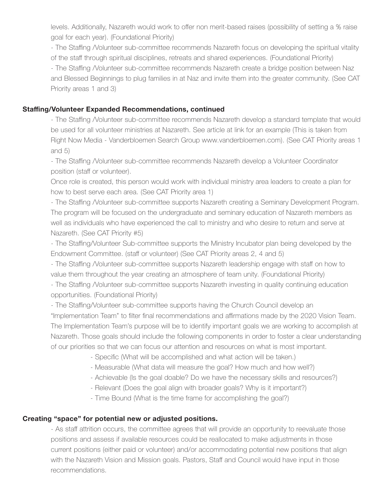levels. Additionally, Nazareth would work to offer non merit-based raises (possibility of setting a % raise goal for each year). (Foundational Priority)

- The Staffing /Volunteer sub-committee recommends Nazareth focus on developing the spiritual vitality of the staff through spiritual disciplines, retreats and shared experiences. (Foundational Priority)

- The Staffing /Volunteer sub-committee recommends Nazareth create a bridge position between Naz and Blessed Beginnings to plug families in at Naz and invite them into the greater community. (See CAT Priority areas 1 and 3)

#### **Staffing/Volunteer Expanded Recommendations, continued**

- The Staffing /Volunteer sub-committee recommends Nazareth develop a standard template that would be used for all volunteer ministries at Nazareth. See article at link for an example (This is taken from Right Now Media - Vanderbloemen Search Group www.vanderbloemen.com). (See CAT Priority areas 1 and 5)

- The Staffing /Volunteer sub-committee recommends Nazareth develop a Volunteer Coordinator position (staff or volunteer).

Once role is created, this person would work with individual ministry area leaders to create a plan for how to best serve each area. (See CAT Priority area 1)

- The Staffing /Volunteer sub-committee supports Nazareth creating a Seminary Development Program. The program will be focused on the undergraduate and seminary education of Nazareth members as well as individuals who have experienced the call to ministry and who desire to return and serve at Nazareth. (See CAT Priority #5)

- The Staffing/Volunteer Sub-committee supports the Ministry Incubator plan being developed by the Endowment Committee. (staff or volunteer) (See CAT Priority areas 2, 4 and 5)

- The Staffing /Volunteer sub-committee supports Nazareth leadership engage with staff on how to value them throughout the year creating an atmosphere of team unity. (Foundational Priority)

- The Staffing *Nolunteer sub-committee supports Nazareth investing in quality continuing education* opportunities. (Foundational Priority)

- The Staffing/Volunteer sub-committee supports having the Church Council develop an "Implementation Team" to filter final recommendations and affirmations made by the 2020 Vision Team. The Implementation Team's purpose will be to identify important goals we are working to accomplish at Nazareth. Those goals should include the following components in order to foster a clear understanding of our priorities so that we can focus our attention and resources on what is most important.

- Specific (What will be accomplished and what action will be taken.)

- Measurable (What data will measure the goal? How much and how well?)

- Achievable (Is the goal doable? Do we have the necessary skills and resources?)
- Relevant (Does the goal align with broader goals? Why is it important?)

- Time Bound (What is the time frame for accomplishing the goal?)

#### **Creating "space" for potential new or adjusted positions.**

- As staff attrition occurs, the committee agrees that will provide an opportunity to reevaluate those positions and assess if available resources could be reallocated to make adjustments in those current positions (either paid or volunteer) and/or accommodating potential new positions that align with the Nazareth Vision and Mission goals. Pastors, Staff and Council would have input in those recommendations.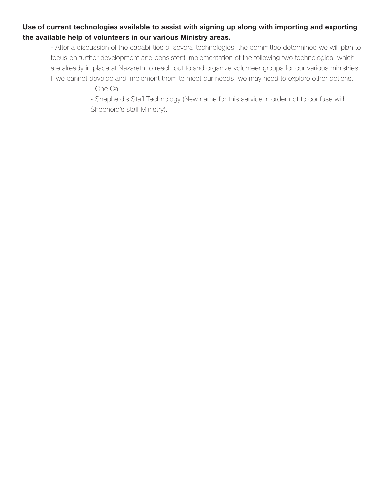#### **Use of current technologies available to assist with signing up along with importing and exporting the available help of volunteers in our various Ministry areas.**

- After a discussion of the capabilities of several technologies, the committee determined we will plan to focus on further development and consistent implementation of the following two technologies, which are already in place at Nazareth to reach out to and organize volunteer groups for our various ministries. If we cannot develop and implement them to meet our needs, we may need to explore other options.

- One Call

- Shepherd's Staff Technology (New name for this service in order not to confuse with Shepherd's staff Ministry).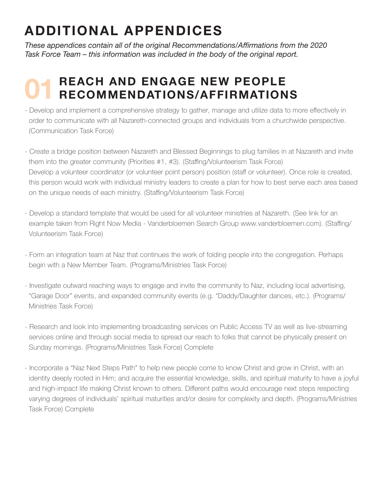## **ADDITIONAL APPENDICES**

*These appendices contain all of the original Recommendations/Affirmations from the 2020 Task Force Team – this information was included in the body of the original report.*

#### **REACH AND ENGAGE NEW PEOPLE RECOMMENDATIONS/AFFIRMATIONS 01**

- Develop and implement a comprehensive strategy to gather, manage and utilize data to more effectively in order to communicate with all Nazareth-connected groups and individuals from a churchwide perspective. (Communication Task Force)
- Create a bridge position between Nazareth and Blessed Beginnings to plug families in at Nazareth and invite them into the greater community (Priorities #1, #3). (Staffing/Volunteerism Task Force) Develop a volunteer coordinator (or volunteer point person) position (staff or volunteer). Once role is created, this person would work with individual ministry leaders to create a plan for how to best serve each area based on the unique needs of each ministry. (Staffing/Volunteerism Task Force)
- Develop a standard template that would be used for all volunteer ministries at Nazareth. (See link for an example taken from Right Now Media - Vanderbloemen Search Group www.vanderbloemen.com). (Staffing/ Volunteerism Task Force)
- Form an integration team at Naz that continues the work of folding people into the congregation. Perhaps begin with a New Member Team. (Programs/Ministries Task Force)
- Investigate outward reaching ways to engage and invite the community to Naz, including local advertising, "Garage Door" events, and expanded community events (e.g. "Daddy/Daughter dances, etc.). (Programs/ Ministries Task Force)
- Research and look into implementing broadcasting services on Public Access TV as well as live-streaming services online and through social media to spread our reach to folks that cannot be physically present on Sunday mornings. (Programs/Ministries Task Force) Complete
- Incorporate a "Naz Next Steps Path" to help new people come to know Christ and grow in Christ, with an identity deeply rooted in Him; and acquire the essential knowledge, skills, and spiritual maturity to have a joyful and high-impact life making Christ known to others. Different paths would encourage next steps respecting varying degrees of individuals' spiritual maturities and/or desire for complexity and depth. (Programs/Ministries Task Force) Complete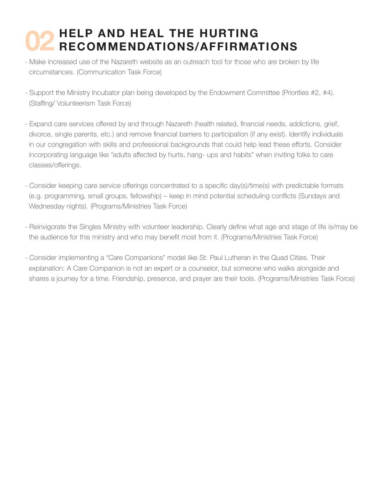#### **HELP AND HEAL THE HURTING RECOMMENDATIONS/AFFIRMATIONS 02**

- Make increased use of the Nazareth website as an outreach tool for those who are broken by life circumstances. (Communication Task Force)
- Support the Ministry Incubator plan being developed by the Endowment Committee (Priorities #2, #4). (Staffing/ Volunteerism Task Force)
- Expand care services offered by and through Nazareth (health related, financial needs, addictions, grief, divorce, single parents, etc.) and remove financial barriers to participation (if any exist). Identify individuals in our congregation with skills and professional backgrounds that could help lead these efforts. Consider incorporating language like "adults affected by hurts, hang- ups and habits" when inviting folks to care classes/offerings.
- Consider keeping care service offerings concentrated to a specific day(s)/time(s) with predictable formats (e.g. programming, small groups, fellowship) – keep in mind potential scheduling conflicts (Sundays and Wednesday nights). (Programs/Ministries Task Force)
- Reinvigorate the Singles Ministry with volunteer leadership. Clearly define what age and stage of life is/may be the audience for this ministry and who may benefit most from it. (Programs/Ministries Task Force)
- Consider implementing a "Care Companions" model like St. Paul Lutheran in the Quad Cities. Their explanation: A Care Companion is not an expert or a counselor, but someone who walks alongside and shares a journey for a time. Friendship, presence, and prayer are their tools. (Programs/Ministries Task Force)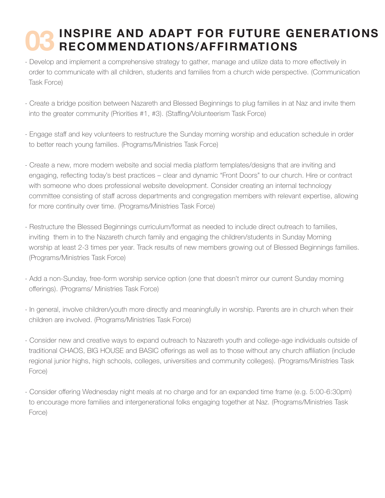#### **INSPIRE AND ADAPT FOR FUTURE GENERATIONS RECOMMENDATIONS/AFFIRMATIONS 03**

- Develop and implement a comprehensive strategy to gather, manage and utilize data to more effectively in order to communicate with all children, students and families from a church wide perspective. (Communication Task Force)
- Create a bridge position between Nazareth and Blessed Beginnings to plug families in at Naz and invite them into the greater community (Priorities #1, #3). (Staffing/Volunteerism Task Force)
- Engage staff and key volunteers to restructure the Sunday morning worship and education schedule in order to better reach young families. (Programs/Ministries Task Force)
- Create a new, more modern website and social media platform templates/designs that are inviting and engaging, reflecting today's best practices – clear and dynamic "Front Doors" to our church. Hire or contract with someone who does professional website development. Consider creating an internal technology committee consisting of staff across departments and congregation members with relevant expertise, allowing for more continuity over time. (Programs/Ministries Task Force)
- Restructure the Blessed Beginnings curriculum/format as needed to include direct outreach to families, inviting them in to the Nazareth church family and engaging the children/students in Sunday Morning worship at least 2-3 times per year. Track results of new members growing out of Blessed Beginnings families. (Programs/Ministries Task Force)
- Add a non-Sunday, free-form worship service option (one that doesn't mirror our current Sunday morning offerings). (Programs/ Ministries Task Force)
- In general, involve children/youth more directly and meaningfully in worship. Parents are in church when their children are involved. (Programs/Ministries Task Force)
- Consider new and creative ways to expand outreach to Nazareth youth and college-age individuals outside of traditional CHAOS, BIG HOUSE and BASIC offerings as well as to those without any church affiliation (include regional junior highs, high schools, colleges, universities and community colleges). (Programs/Ministries Task Force)
- Consider offering Wednesday night meals at no charge and for an expanded time frame (e.g. 5:00-6:30pm) to encourage more families and intergenerational folks engaging together at Naz. (Programs/Ministries Task Force)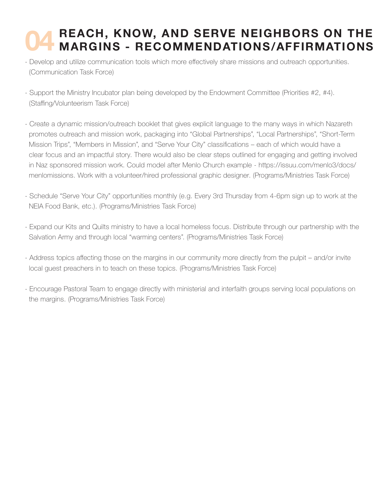#### **REACH, KNOW, AND SERVE NEIGHBORS ON THE MARGINS - RECOMMENDATIONS/AFFIRMATIONS 04**

- Develop and utilize communication tools which more effectively share missions and outreach opportunities. (Communication Task Force)
- Support the Ministry Incubator plan being developed by the Endowment Committee (Priorities #2, #4). (Staffing/Volunteerism Task Force)
- Create a dynamic mission/outreach booklet that gives explicit language to the many ways in which Nazareth promotes outreach and mission work, packaging into "Global Partnerships", "Local Partnerships", "Short-Term Mission Trips", "Members in Mission", and "Serve Your City" classifications – each of which would have a clear focus and an impactful story. There would also be clear steps outlined for engaging and getting involved in Naz sponsored mission work. Could model after Menlo Church example - https://issuu.com/menlo3/docs/ menlomissions. Work with a volunteer/hired professional graphic designer. (Programs/Ministries Task Force)
- Schedule "Serve Your City" opportunities monthly (e.g. Every 3rd Thursday from 4-6pm sign up to work at the NEIA Food Bank, etc.). (Programs/Ministries Task Force)
- Expand our Kits and Quilts ministry to have a local homeless focus. Distribute through our partnership with the Salvation Army and through local "warming centers". (Programs/Ministries Task Force)
- Address topics affecting those on the margins in our community more directly from the pulpit and/or invite local guest preachers in to teach on these topics. (Programs/Ministries Task Force)
- Encourage Pastoral Team to engage directly with ministerial and interfaith groups serving local populations on the margins. (Programs/Ministries Task Force)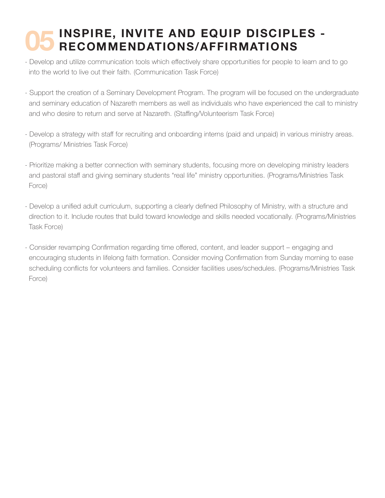#### **INSPIRE, INVITE AND EQUIP DISCIPLES - RECOMMENDATIONS/AFFIRMATIONS 05**

- Develop and utilize communication tools which effectively share opportunities for people to learn and to go into the world to live out their faith. (Communication Task Force)
- Support the creation of a Seminary Development Program. The program will be focused on the undergraduate and seminary education of Nazareth members as well as individuals who have experienced the call to ministry and who desire to return and serve at Nazareth. (Staffing/Volunteerism Task Force)
- Develop a strategy with staff for recruiting and onboarding interns (paid and unpaid) in various ministry areas. (Programs/ Ministries Task Force)
- Prioritize making a better connection with seminary students, focusing more on developing ministry leaders and pastoral staff and giving seminary students "real life" ministry opportunities. (Programs/Ministries Task Force)
- Develop a unified adult curriculum, supporting a clearly defined Philosophy of Ministry, with a structure and direction to it. Include routes that build toward knowledge and skills needed vocationally. (Programs/Ministries Task Force)
- Consider revamping Confirmation regarding time offered, content, and leader support engaging and encouraging students in lifelong faith formation. Consider moving Confirmation from Sunday morning to ease scheduling conflicts for volunteers and families. Consider facilities uses/schedules. (Programs/Ministries Task Force)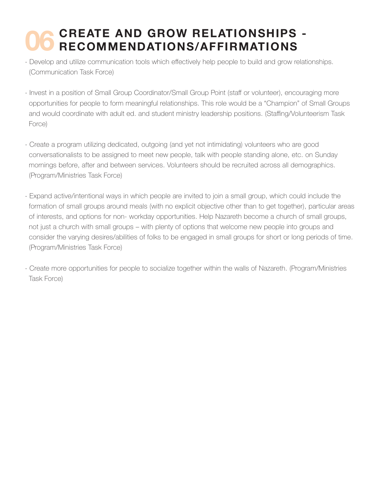#### **CREATE AND GROW RELATIONSHIPS - RECOMMENDATIONS/AFFIRMATIONS 06**

- Develop and utilize communication tools which effectively help people to build and grow relationships. (Communication Task Force)
- Invest in a position of Small Group Coordinator/Small Group Point (staff or volunteer), encouraging more opportunities for people to form meaningful relationships. This role would be a "Champion" of Small Groups and would coordinate with adult ed. and student ministry leadership positions. (Staffing/Volunteerism Task Force)
- Create a program utilizing dedicated, outgoing (and yet not intimidating) volunteers who are good conversationalists to be assigned to meet new people, talk with people standing alone, etc. on Sunday mornings before, after and between services. Volunteers should be recruited across all demographics. (Program/Ministries Task Force)
- Expand active/intentional ways in which people are invited to join a small group, which could include the formation of small groups around meals (with no explicit objective other than to get together), particular areas of interests, and options for non- workday opportunities. Help Nazareth become a church of small groups, not just a church with small groups – with plenty of options that welcome new people into groups and consider the varying desires/abilities of folks to be engaged in small groups for short or long periods of time. (Program/Ministries Task Force)
- Create more opportunities for people to socialize together within the walls of Nazareth. (Program/Ministries Task Force)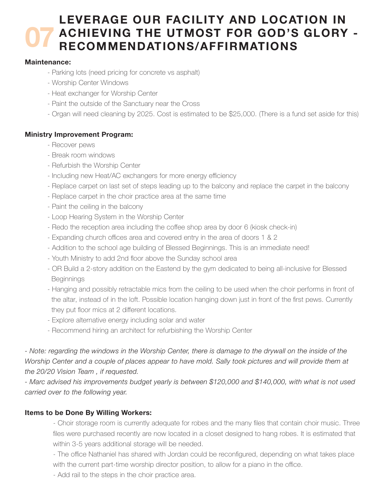#### **LEVERAGE OUR FACILITY AND LOCATION IN ACHIEVING THE UTMOST FOR GOD'S GLORY - RECOMMENDATIONS/AFFIRMATIONS 07**

#### **Maintenance:**

- Parking lots (need pricing for concrete vs asphalt)
- Worship Center Windows
- Heat exchanger for Worship Center
- Paint the outside of the Sanctuary near the Cross
- Organ will need cleaning by 2025. Cost is estimated to be \$25,000. (There is a fund set aside for this)

#### **Ministry Improvement Program:**

- Recover pews
- Break room windows
- Refurbish the Worship Center
- Including new Heat/AC exchangers for more energy efficiency
- Replace carpet on last set of steps leading up to the balcony and replace the carpet in the balcony
- Replace carpet in the choir practice area at the same time
- Paint the ceiling in the balcony
- Loop Hearing System in the Worship Center
- Redo the reception area including the coffee shop area by door 6 (kiosk check-in)
- Expanding church offices area and covered entry in the area of doors 1 & 2
- Addition to the school age building of Blessed Beginnings. This is an immediate need!
- Youth Ministry to add 2nd floor above the Sunday school area
- OR Build a 2-story addition on the Eastend by the gym dedicated to being all-inclusive for Blessed **Beginnings**
- Hanging and possibly retractable mics from the ceiling to be used when the choir performs in front of the altar, instead of in the loft. Possible location hanging down just in front of the first pews. Currently they put floor mics at 2 different locations.
- Explore alternative energy including solar and water
- Recommend hiring an architect for refurbishing the Worship Center

*- Note: regarding the windows in the Worship Center, there is damage to the drywall on the inside of the Worship Center and a couple of places appear to have mold. Sally took pictures and will provide them at the 20/20 Vision Team , if requested.*

*- Marc advised his improvements budget yearly is between \$120,000 and \$140,000, with what is not used carried over to the following year.*

#### **Items to be Done By Willing Workers:**

- Choir storage room is currently adequate for robes and the many files that contain choir music. Three files were purchased recently are now located in a closet designed to hang robes. It is estimated that within 3-5 years additional storage will be needed.

- The office Nathaniel has shared with Jordan could be reconfigured, depending on what takes place with the current part-time worship director position, to allow for a piano in the office.

- Add rail to the steps in the choir practice area.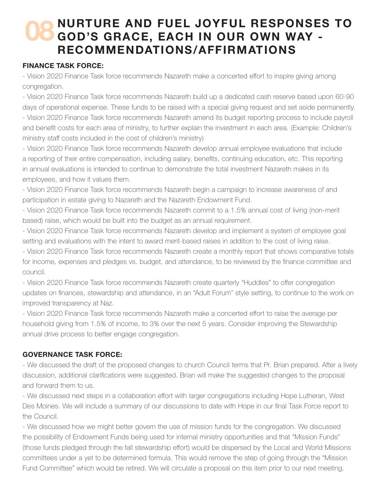#### **NURTURE AND FUEL JOYFUL RESPONSES TO GOD'S GRACE, EACH IN OUR OWN WAY - RECOMMENDATIONS/AFFIRMATIONS 08**

#### **FINANCE TASK FORCE:**

- Vision 2020 Finance Task force recommends Nazareth make a concerted effort to inspire giving among congregation.

- Vision 2020 Finance Task force recommends Nazareth build up a dedicated cash reserve based upon 60-90 days of operational expense. These funds to be raised with a special giving request and set aside permanently. - Vision 2020 Finance Task force recommends Nazareth amend its budget reporting process to include payroll and benefit costs for each area of ministry, to further explain the investment in each area. (Example: Children's ministry staff costs included in the cost of children's ministry)

- Vision 2020 Finance Task force recommends Nazareth develop annual employee evaluations that include a reporting of their entire compensation, including salary, benefits, continuing education, etc. This reporting in annual evaluations is intended to continue to demonstrate the total investment Nazareth makes in its employees, and how it values them.

- Vision 2020 Finance Task force recommends Nazareth begin a campaign to increase awareness of and participation in estate giving to Nazareth and the Nazareth Endowment Fund.

- Vision 2020 Finance Task force recommends Nazareth commit to a 1.5% annual cost of living (non-merit based) raise, which would be built into the budget as an annual requirement.

- Vision 2020 Finance Task force recommends Nazareth develop and implement a system of employee goal setting and evaluations with the intent to award merit-based raises in addition to the cost of living raise.

- Vision 2020 Finance Task force recommends Nazareth create a monthly report that shows comparative totals for income, expenses and pledges vs. budget, and attendance, to be reviewed by the finance committee and council.

- Vision 2020 Finance Task force recommends Nazareth create quarterly "Huddles" to offer congregation updates on finances, stewardship and attendance, in an "Adult Forum" style setting, to continue to the work on improved transparency at Naz.

- Vision 2020 Finance Task force recommends Nazareth make a concerted effort to raise the average per household giving from 1.5% of income, to 3% over the next 5 years. Consider improving the Stewardship annual drive process to better engage congregation.

#### **GOVERNANCE TASK FORCE:**

- We discussed the draft of the proposed changes to church Council terms that Pr. Brian prepared. After a lively discussion, additional clarifications were suggested. Brian will make the suggested changes to the proposal and forward them to us.

- We discussed next steps in a collaboration effort with larger congregations including Hope Lutheran, West Des Moines. We will include a summary of our discussions to date with Hope in our final Task Force report to the Council.

- We discussed how we might better govern the use of mission funds for the congregation. We discussed the possibility of Endowment Funds being used for internal ministry opportunities and that "Mission Funds" (those funds pledged through the fall stewardship effort) would be dispersed by the Local and World Missions committees under a yet to be determined formula. This would remove the step of going through the "Mission Fund Committee" which would be retired. We will circulate a proposal on this item prior to our next meeting.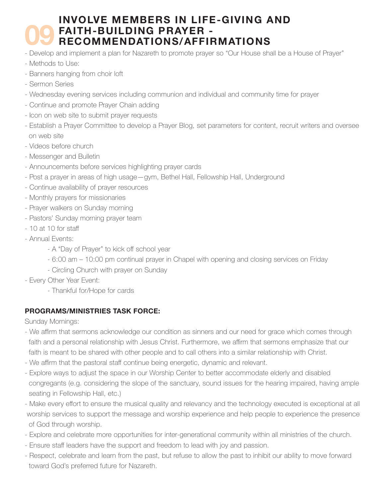#### **INVOLVE MEMBERS IN LIFE-GIVING AND FAITH-BUILDING PRAYER - RECOMMENDATIONS/AFFIRMATIONS 09 FAITH-BUILDING PRAYER -<br>- Develop and implement a plan for Nazareth to promote prayer so "Our House shall be a House of Prayer"**

- 
- Methods to Use:
- Banners hanging from choir loft
- Sermon Series
- Wednesday evening services including communion and individual and community time for prayer
- Continue and promote Prayer Chain adding
- Icon on web site to submit prayer requests
- Establish a Prayer Committee to develop a Prayer Blog, set parameters for content, recruit writers and oversee on web site
- Videos before church
- Messenger and Bulletin
- Announcements before services highlighting prayer cards
- Post a prayer in areas of high usage—gym, Bethel Hall, Fellowship Hall, Underground
- Continue availability of prayer resources
- Monthly prayers for missionaries
- Prayer walkers on Sunday morning
- Pastors' Sunday morning prayer team
- 10 at 10 for staff
- Annual Events:
	- A "Day of Prayer" to kick off school year
	- 6:00 am 10:00 pm continual prayer in Chapel with opening and closing services on Friday
	- Circling Church with prayer on Sunday
- Every Other Year Event:
	- Thankful for/Hope for cards

#### **PROGRAMS/MINISTRIES TASK FORCE:**

Sunday Mornings:

- We affirm that sermons acknowledge our condition as sinners and our need for grace which comes through faith and a personal relationship with Jesus Christ. Furthermore, we affirm that sermons emphasize that our faith is meant to be shared with other people and to call others into a similar relationship with Christ.
- We affirm that the pastoral staff continue being energetic, dynamic and relevant.
- Explore ways to adjust the space in our Worship Center to better accommodate elderly and disabled congregants (e.g. considering the slope of the sanctuary, sound issues for the hearing impaired, having ample seating in Fellowship Hall, etc.)
- Make every effort to ensure the musical quality and relevancy and the technology executed is exceptional at all worship services to support the message and worship experience and help people to experience the presence of God through worship.
- Explore and celebrate more opportunities for inter-generational community within all ministries of the church.
- Ensure staff leaders have the support and freedom to lead with joy and passion.
- Respect, celebrate and learn from the past, but refuse to allow the past to inhibit our ability to move forward toward God's preferred future for Nazareth.